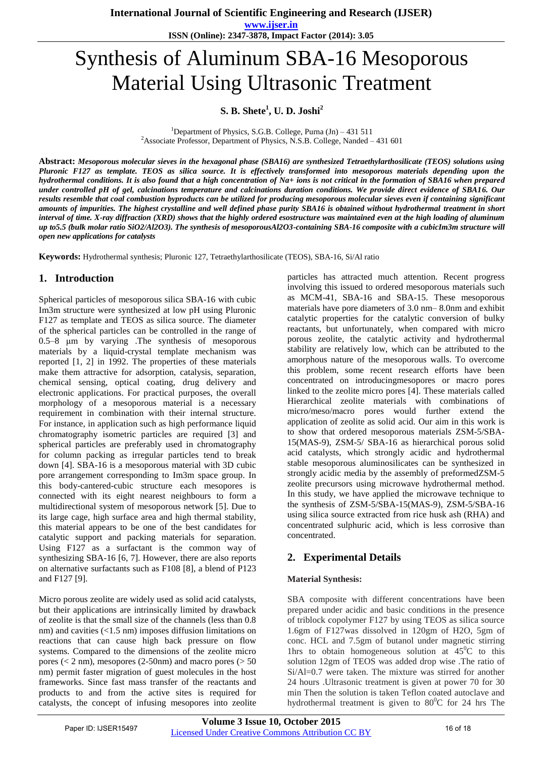**www.ijser.in ISSN (Online): 2347-3878, Impact Factor (2014): 3.05**

# Synthesis of Aluminum SBA-16 Mesoporous Material Using Ultrasonic Treatment

**S. B. Shete<sup>1</sup> , U. D. Joshi<sup>2</sup>**

<sup>1</sup>Department of Physics, S.G.B. College, Purna  $(In) - 431511$ <sup>2</sup>Associate Professor, Department of Physics, N.S.B. College, Nanded  $-431$  601

**Abstract:** *Mesoporous molecular sieves in the hexagonal phase (SBA16) are synthesized Tetraethylarthosilicate (TEOS) solutions using Pluronic F127 as template. TEOS as silica source. It is effectively transformed into mesoporous materials depending upon the hydrothermal conditions. It is also found that a high concentration of Na+ ions is not critical in the formation of SBA16 when prepared under controlled pH of gel, calcinations temperature and calcinations duration conditions. We provide direct evidence of SBA16. Our results resemble that coal combustion byproducts can be utilized for producing mesoporous molecular sieves even if containing significant amounts of impurities. The highest crystalline and well defined phase purity SBA16 is obtained without hydrothermal treatment in short interval of time. X-ray diffraction (XRD) shows that the highly ordered esostructure was maintained even at the high loading of aluminum up to5.5 (bulk molar ratio SiO2/Al2O3). The synthesis of mesoporousAl2O3-containing SBA-16 composite with a cubicIm3m structure will open new applications for catalysts*

**Keywords:** Hydrothermal synthesis; Pluronic 127, Tetraethylarthosilicate (TEOS), SBA-16, Si/Al ratio

## **1. Introduction**

Spherical particles of mesoporous silica SBA-16 with cubic Im3m structure were synthesized at low pH using Pluronic F127 as template and TEOS as silica source. The diameter of the spherical particles can be controlled in the range of 0.5–8 μm by varying .The synthesis of mesoporous materials by a liquid-crystal template mechanism was reported [1, 2] in 1992. The properties of these materials make them attractive for adsorption, catalysis, separation, chemical sensing, optical coating, drug delivery and electronic applications. For practical purposes, the overall morphology of a mesoporous material is a necessary requirement in combination with their internal structure. For instance, in application such as high performance liquid chromatography isometric particles are required [3] and spherical particles are preferably used in chromatography for column packing as irregular particles tend to break down [4]. SBA-16 is a mesoporous material with 3D cubic pore arrangement corresponding to Im3m space group. In this body-cantered-cubic structure each mesopores is connected with its eight nearest neighbours to form a multidirectional system of mesoporous network [5]. Due to its large cage, high surface area and high thermal stability, this material appears to be one of the best candidates for catalytic support and packing materials for separation. Using F127 as a surfactant is the common way of synthesizing SBA-16 [6, 7]. However, there are also reports on alternative surfactants such as F108 [8], a blend of P123 and F127 [9].

Micro porous zeolite are widely used as solid acid catalysts, but their applications are intrinsically limited by drawback of zeolite is that the small size of the channels (less than 0.8 nm) and cavities (<1.5 nm) imposes diffusion limitations on reactions that can cause high back pressure on flow systems. Compared to the dimensions of the zeolite micro pores ( $\lt 2$  nm), mesopores ( $2-50$ nm) and macro pores ( $> 50$ nm) permit faster migration of guest molecules in the host frameworks. Since fast mass transfer of the reactants and products to and from the active sites is required for catalysts, the concept of infusing mesopores into zeolite

particles has attracted much attention. Recent progress involving this issued to ordered mesoporous materials such as MCM-41, SBA-16 and SBA-15. These mesoporous materials have pore diameters of 3.0 nm– 8.0nm and exhibit catalytic properties for the catalytic conversion of bulky reactants, but unfortunately, when compared with micro porous zeolite, the catalytic activity and hydrothermal stability are relatively low, which can be attributed to the amorphous nature of the mesoporous walls. To overcome this problem, some recent research efforts have been concentrated on introducingmesopores or macro pores linked to the zeolite micro pores [4]. These materials called Hierarchical zeolite materials with combinations of micro/meso/macro pores would further extend the application of zeolite as solid acid. Our aim in this work is to show that ordered mesoporous materials ZSM-5/SBA-15(MAS-9), ZSM-5/ SBA-16 as hierarchical porous solid acid catalysts, which strongly acidic and hydrothermal stable mesoporous aluminosilicates can be synthesized in strongly acidic media by the assembly of preformedZSM-5 zeolite precursors using microwave hydrothermal method. In this study, we have applied the microwave technique to the synthesis of ZSM-5/SBA-15(MAS-9), ZSM-5/SBA-16 using silica source extracted from rice husk ash (RHA) and concentrated sulphuric acid, which is less corrosive than concentrated.

## **2. Experimental Details**

#### **Material Synthesis:**

SBA composite with different concentrations have been prepared under acidic and basic conditions in the presence of triblock copolymer F127 by using TEOS as silica source 1.6gm of F127was dissolved in 120gm of H2O, 5gm of conc. HCL and 7.5gm of butanol under magnetic stirring 1hrs to obtain homogeneous solution at  $45^{\circ}$ C to this solution 12gm of TEOS was added drop wise .The ratio of Si/Al=0.7 were taken. The mixture was stirred for another 24 hours .Ultrasonic treatment is given at power 70 for 30 min Then the solution is taken Teflon coated autoclave and hydrothermal treatment is given to  $80^{\circ}$ C for 24 hrs The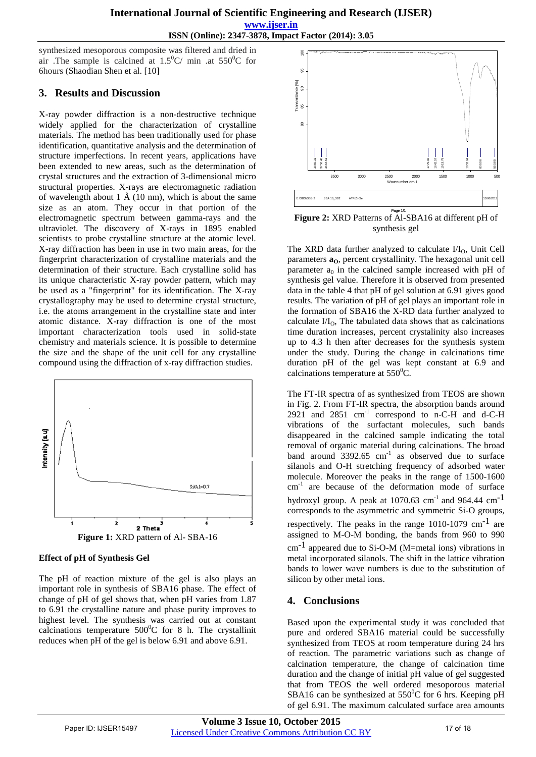**ISSN (Online): 2347-3878, Impact Factor (2014): 3.05**

synthesized mesoporous composite was filtered and dried in air .The sample is calcined at  $1.5^{\circ}$ C/ min .at  $550^{\circ}$ C for 6hours (Shaodian Shen et al. [10]

## **3. Results and Discussion**

X-ray powder diffraction is a non-destructive technique widely applied for the characterization of crystalline materials. The method has been traditionally used for phase identification, quantitative analysis and the determination of structure imperfections. In recent years, applications have been extended to new areas, such as the determination of crystal structures and the extraction of 3-dimensional micro structural properties. X-rays are electromagnetic radiation of wavelength about 1  $\AA$  (10 nm), which is about the same size as an atom. They occur in that portion of the electromagnetic spectrum between gamma-rays and the ultraviolet. The discovery of X-rays in 1895 enabled scientists to probe crystalline structure at the atomic level. X-ray diffraction has been in use in two main areas, for the fingerprint characterization of crystalline materials and the determination of their structure. Each crystalline solid has its unique characteristic X-ray powder pattern, which may be used as a "fingerprint" for its identification. The X-ray crystallography may be used to determine crystal structure, i.e. the atoms arrangement in the crystalline state and inter atomic distance. X-ray diffraction is one of the most important characterization tools used in solid-state chemistry and materials science. It is possible to determine the size and the shape of the unit cell for any crystalline compound using the diffraction of x-ray diffraction studies.



#### **Effect of pH of Synthesis Gel**

The pH of reaction mixture of the gel is also plays an important role in synthesis of SBA16 phase. The effect of change of pH of gel shows that, when pH varies from 1.87 to 6.91 the crystalline nature and phase purity improves to highest level. The synthesis was carried out at constant calcinations temperature  $500^{\circ}$ C for 8 h. The crystallinit reduces when pH of the gel is below 6.91 and above 6.91.



**Figure 2:** XRD Patterns of Al-SBA16 at different pH of synthesis gel

The XRD data further analyzed to calculate  $I/I_0$ , Unit Cell parameters  $\mathbf{a}_0$ , percent crystallinity. The hexagonal unit cell parameter  $a_0$  in the calcined sample increased with pH of synthesis gel value. Therefore it is observed from presented data in the table 4 that pH of gel solution at 6.91 gives good results. The variation of pH of gel plays an important role in the formation of SBA16 the X-RD data further analyzed to calculate  $I/I_0$ , The tabulated data shows that as calcinations time duration increases, percent crystalinity also increases up to 4.3 h then after decreases for the synthesis system under the study. During the change in calcinations time duration pH of the gel was kept constant at 6.9 and calcinations temperature at  $550^{\circ}$ C.

The FT-IR spectra of as synthesized from TEOS are shown in Fig. 2. From FT-IR spectra, the absorption bands around  $2921$  and  $2851$   $cm^{-1}$  correspond to n-C-H and d-C-H vibrations of the surfactant molecules, such bands disappeared in the calcined sample indicating the total removal of organic material during calcinations. The broad band around  $3392.65$  cm<sup>-1</sup> as observed due to surface silanols and O-H stretching frequency of adsorbed water molecule. Moreover the peaks in the range of 1500-1600  $cm<sup>-1</sup>$  are because of the deformation mode of surface hydroxyl group. A peak at  $1070.63$  cm<sup>-1</sup> and  $964.44$  cm<sup>-1</sup> corresponds to the asymmetric and symmetric Si-O groups, respectively. The peaks in the range  $1010-1079$  cm<sup>-1</sup> are assigned to M-O-M bonding, the bands from 960 to 990  $cm^{-1}$  appeared due to Si-O-M (M=metal ions) vibrations in metal incorporated silanols. The shift in the lattice vibration bands to lower wave numbers is due to the substitution of silicon by other metal ions.

## **4. Conclusions**

Based upon the experimental study it was concluded that pure and ordered SBA16 material could be successfully synthesized from TEOS at room temperature during 24 hrs of reaction. The parametric variations such as change of calcination temperature, the change of calcination time duration and the change of initial pH value of gel suggested that from TEOS the well ordered mesoporous material SBA16 can be synthesized at  $550^{\circ}$ C for 6 hrs. Keeping pH of gel 6.91. The maximum calculated surface area amounts